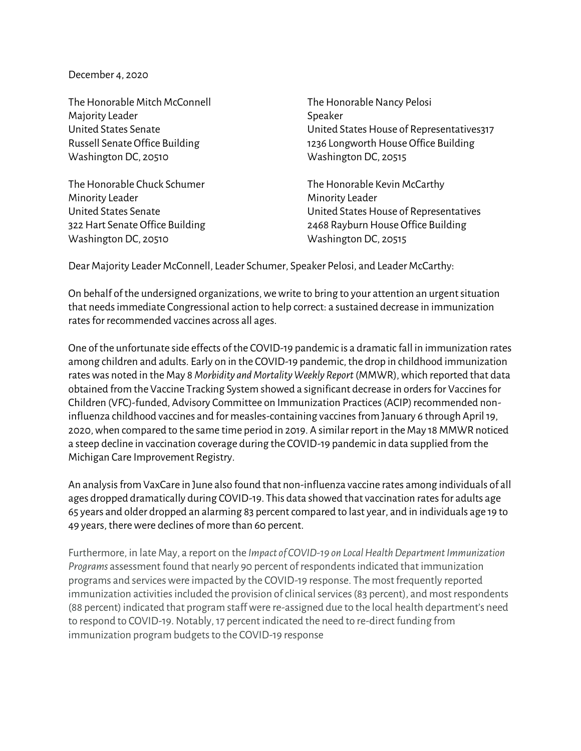December 4, 2020

The Honorable Mitch McConnell The Honorable Nancy Pelosi Majority Leader National Accounts Assembly Speaker Washington DC, 20510 Washington DC, 20515

The Honorable Chuck Schumer The Honorable Kevin McCarthy Minority Leader **Minority Leader** Minority Leader Washington DC, 20510 Washington DC, 20515

United States Senate United States House of Representatives317 Russell Senate Office Building 1236 Longworth House Office Building

United States Senate United States House of Representatives 322 Hart Senate Office Building 2468 Rayburn House Office Building

Dear Majority Leader McConnell, Leader Schumer, Speaker Pelosi, and Leader McCarthy:

On behalf of the undersigned organizations, we write to bring to your attention an urgent situation that needs immediate Congressional action to help correct: a sustained decrease in immunization rates for recommended vaccines across all ages.

One of the unfortunate side effects of the COVID-19 pandemic is a dramatic fall in immunization rates among children and adults. Early on in the COVID-19 pandemic, the drop in childhood immunization rates was noted in the May 8 *Morbidity and Mortality Weekly Report* (MMWR), which reported that data obtained from the Vaccine Tracking System showed a significant decrease in orders for Vaccines for Children (VFC)-funded, Advisory Committee on Immunization Practices (ACIP) recommended noninfluenza childhood vaccines and for measles-containing vaccines from January 6 through April 19, 2020, when compared to the same time period in 2019. A similar report in the May 18 MMWR noticed a steep decline in vaccination coverage during the COVID-19 pandemic in data supplied from the Michigan Care Improvement Registry.

An analysis from VaxCare in June also found that non-influenza vaccine rates among individuals of all ages dropped dramatically during COVID-19. This data showed that vaccination rates for adults age 65 years and older dropped an alarming 83 percent compared to last year, and in individuals age 19 to 49 years, there were declines of more than 60 percent.

Furthermore, in late May, a report on the *Impact of COVID-19 on Local Health Department Immunization Programs* assessment found that nearly 90 percent of respondents indicated that immunization programs and services were impacted by the COVID-19 response. The most frequently reported immunization activities included the provision of clinical services (83 percent), and most respondents (88 percent) indicated that program staff were re-assigned due to the local health department's need to respond to COVID-19. Notably, 17 percent indicated the need to re-direct funding from immunization program budgets to the COVID-19 response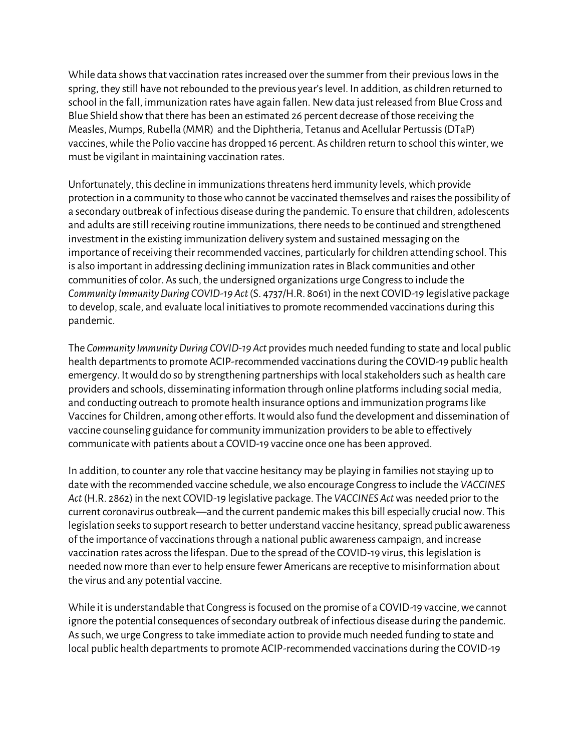While data shows that vaccination rates increased over the summer from their previous lows in the spring, they still have not rebounded to the previous year's level. In addition, as children returned to school in the fall, immunization rates have again fallen. New data just released from Blue Cross and Blue Shield show that there has been an estimated 26 percent decrease of those receiving the Measles, Mumps, Rubella (MMR) and the Diphtheria, Tetanus and Acellular Pertussis (DTaP) vaccines, while the Polio vaccine has dropped 16 percent. As children return to school this winter, we must be vigilant in maintaining vaccination rates.

Unfortunately, this decline in immunizations threatens herd immunity levels, which provide protection in a community to those who cannot be vaccinated themselves and raises the possibility of a secondary outbreak of infectious disease during the pandemic. To ensure that children, adolescents and adults are still receiving routine immunizations, there needs to be continued and strengthened investment in the existing immunization delivery system and sustained messaging on the importance of receiving their recommended vaccines, particularly for children attending school. This is also important in addressing declining immunization rates in Black communities and other communities of color. As such, the undersigned organizations urge Congress to include the *Community Immunity During COVID-19 Act* (S. 4737/H.R. 8061) in the next COVID-19 legislative package to develop, scale, and evaluate local initiatives to promote recommended vaccinations during this pandemic.

The *Community Immunity During COVID-19 Act* provides much needed funding to state and local public health departments to promote ACIP-recommended vaccinations during the COVID-19 public health emergency. It would do so by strengthening partnerships with local stakeholders such as health care providers and schools, disseminating information through online platforms including social media, and conducting outreach to promote health insurance options and immunization programs like Vaccines for Children, among other efforts. It would also fund the development and dissemination of vaccine counseling guidance for community immunization providers to be able to effectively communicate with patients about a COVID-19 vaccine once one has been approved.

In addition, to counter any role that vaccine hesitancy may be playing in families not staying up to date with the recommended vaccine schedule, we also encourage Congress to include the *VACCINES Act* (H.R. 2862) in the next COVID-19 legislative package. The *VACCINES Act*was needed prior to the current coronavirus outbreak—and the current pandemic makes this bill especially crucial now. This legislation seeks to support research to better understand vaccine hesitancy, spread public awareness of the importance of vaccinations through a national public awareness campaign, and increase vaccination rates across the lifespan. Due to the spread of the COVID-19 virus, this legislation is needed now more than ever to help ensure fewer Americans are receptive to misinformation about the virus and any potential vaccine.

While it is understandable that Congress is focused on the promise of a COVID-19 vaccine, we cannot ignore the potential consequences of secondary outbreak of infectious disease during the pandemic. As such, we urge Congress to take immediate action to provide much needed funding to state and local public health departments to promote ACIP-recommended vaccinations during the COVID-19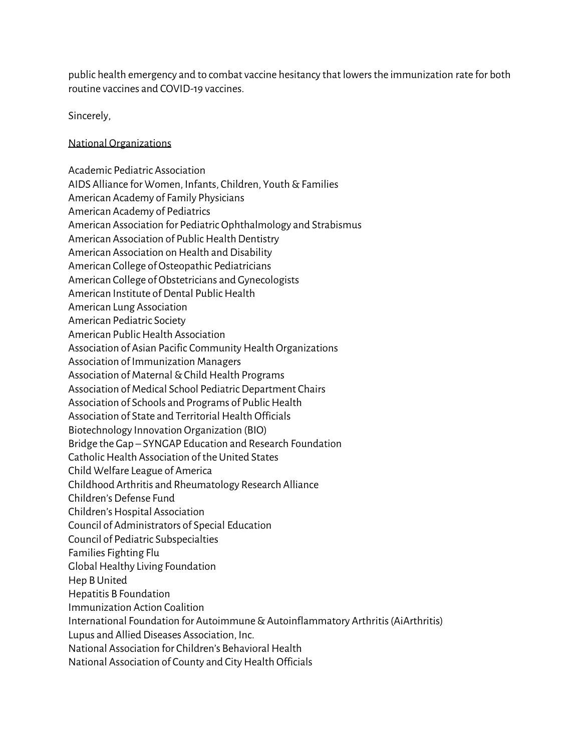public health emergency and to combat vaccine hesitancy that lowers the immunization rate for both routine vaccines and COVID-19 vaccines.

Sincerely,

## National Organizations

Academic Pediatric Association AIDS Alliance for Women, Infants, Children, Youth & Families American Academy of Family Physicians American Academy of Pediatrics American Association for Pediatric Ophthalmology and Strabismus American Association of Public Health Dentistry American Association on Health and Disability American College of Osteopathic Pediatricians American College of Obstetricians and Gynecologists American Institute of Dental Public Health American Lung Association American Pediatric Society American Public Health Association Association of Asian Pacific Community Health Organizations Association of Immunization Managers Association of Maternal & Child Health Programs Association of Medical School Pediatric Department Chairs Association of Schools and Programs of Public Health Association of State and Territorial Health Officials Biotechnology Innovation Organization (BIO) Bridge the Gap – SYNGAP Education and Research Foundation Catholic Health Association of the United States Child Welfare League of America Childhood Arthritis and Rheumatology Research Alliance Children's Defense Fund Children's Hospital Association Council of Administrators of Special Education Council of Pediatric Subspecialties Families Fighting Flu Global Healthy Living Foundation Hep B United Hepatitis B Foundation Immunization Action Coalition International Foundation for Autoimmune & Autoinflammatory Arthritis (AiArthritis) Lupus and Allied Diseases Association, Inc. National Association for Children's Behavioral Health National Association of County and City Health Officials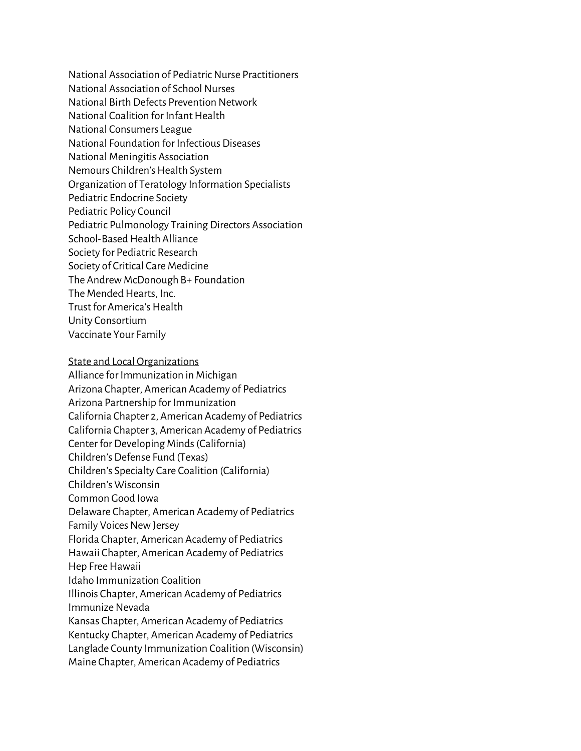National Association of Pediatric Nurse Practitioners National Association of School Nurses National Birth Defects Prevention Network National Coalition for Infant Health National Consumers League National Foundation for Infectious Diseases National Meningitis Association Nemours Children's Health System Organization of Teratology Information Specialists Pediatric Endocrine Society Pediatric Policy Council Pediatric Pulmonology Training Directors Association School-Based Health Alliance Society for Pediatric Research Society of Critical Care Medicine The Andrew McDonough B+ Foundation The Mended Hearts, Inc. Trust for America's Health Unity Consortium Vaccinate Your Family

## State and Local Organizations

Alliance for Immunization in Michigan Arizona Chapter, American Academy of Pediatrics Arizona Partnership for Immunization California Chapter 2, American Academy of Pediatrics California Chapter 3, American Academy of Pediatrics Center for Developing Minds (California) Children's Defense Fund (Texas) Children's Specialty Care Coalition (California) Children's Wisconsin Common Good Iowa Delaware Chapter, American Academy of Pediatrics Family Voices New Jersey Florida Chapter, American Academy of Pediatrics Hawaii Chapter, American Academy of Pediatrics Hep Free Hawaii Idaho Immunization Coalition Illinois Chapter, American Academy of Pediatrics Immunize Nevada Kansas Chapter, American Academy of Pediatrics Kentucky Chapter, American Academy of Pediatrics Langlade County Immunization Coalition (Wisconsin) Maine Chapter, American Academy of Pediatrics